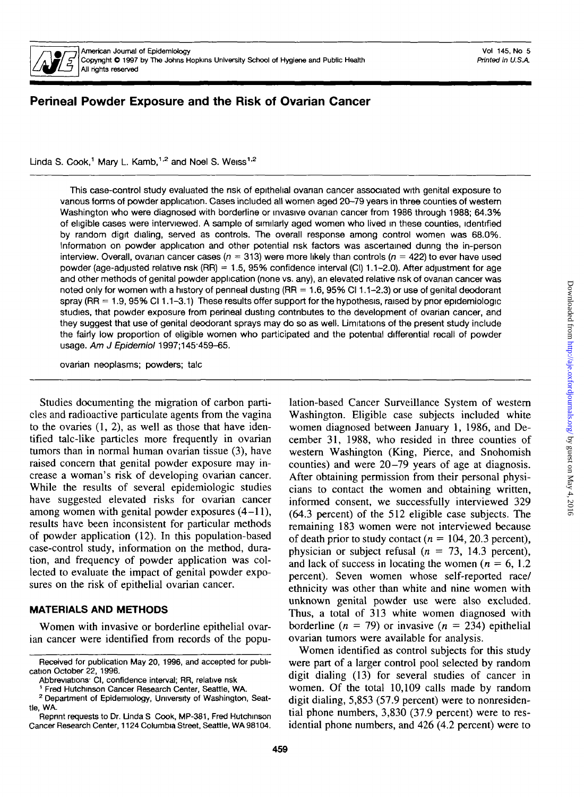

# Perineal Powder Exposure and the Risk of Ovarian Cancer

Linda S. Cook,<sup>1</sup> Mary L. Kamb,<sup>1,2</sup> and Noel S. Weiss<sup>1,2</sup>

This case-control study evaluated the nsk of epithelial ovanan cancer associated with genital exposure to vanous forms of powder application. Cases included all women aged 20-79 years in three counties of western Washington who were diagnosed with borderline or invasive ovarian cancer from 1986 through 1988; 64.3% of eligible cases were interviewed. A sample of similarly aged women who lived in these counties, identified by random digit dialing, served as controls. The overall response among control women was 68.0%. Information on powder application and other potential nsk factors was ascertained during the in-person interview. Overall, ovarian cancer cases ( $n = 313$ ) were more likely than controls ( $n = 422$ ) to ever have used powder (age-adjusted relative nsk (RR) = 1.5, 95% confidence interval (Cl) 1.1-2.0). After adjustment for age and other methods of genital powder application (none vs. any), an elevated relative nsk of ovanan cancer was noted only for women with a history of penneal dusting (RR = 1.6, 95% Cl 1.1-2.3) or use of genital deodorant spray (RR  $= 1.9$ , 95% Cl 1.1-3.1) These results offer support for the hypothesis, raised by prior epidemiologic studies, that powder exposure from perineal dusting contnbutes to the development of ovarian cancer, and they suggest that use of genital deodorant sprays may do so as well. Limitations of the present study include the fairly low proportion of eligible women who participated and the potential differential recall of powder usage. Am J Epidemiol 1997;145-459-65.

ovarian neoplasms; powders; talc

Studies documenting the migration of carbon particles and radioactive paniculate agents from the vagina to the ovaries (1, 2), as well as those that have identified talc-like particles more frequently in ovarian tumors than in normal human ovarian tissue (3), have raised concern that genital powder exposure may increase a woman's risk of developing ovarian cancer. While the results of several epidemiologic studies have suggested elevated risks for ovarian cancer among women with genital powder exposures  $(4-11)$ , results have been inconsistent for particular methods of powder application (12). In this population-based case-control study, information on the method, duration, and frequency of powder application was collected to evaluate the impact of genital powder exposures on the risk of epithelial ovarian cancer.

## **MATERIALS AND METHODS**

Women with invasive or borderline epithelial ovarian cancer were identified from records of the population-based Cancer Surveillance System of western Washington. Eligible case subjects included white women diagnosed between January 1, 1986, and December 31, 1988, who resided in three counties of western Washington (King, Pierce, and Snohomish counties) and were 20-79 years of age at diagnosis. After obtaining permission from their personal physicians to contact the women and obtaining written, informed consent, we successfully interviewed 329 (64.3 percent) of the 512 eligible case subjects. The remaining 183 women were not interviewed because of death prior to study contact  $(n = 104, 20.3$  percent), physician or subject refusal *(n =* 73, 14.3 percent), and lack of success in locating the women  $(n = 6, 1.2)$ percent). Seven women whose self-reported race/ ethnicity was other than white and nine women with unknown genital powder use were also excluded. Thus, a total of 313 white women diagnosed with borderline  $(n = 79)$  or invasive  $(n = 234)$  epithelial ovarian tumors were available for analysis.

Women identified as control subjects for this study were part of a larger control pool selected by random digit dialing (13) for several studies of cancer in women. Of the total 10,109 calls made by random digit dialing, 5,853 (57.9 percent) were to nonresidential phone numbers, 3,830 (37.9 percent) were to residential phone numbers, and 426 (4.2 percent) were to

Received for publication May 20, 1996, and accepted for publication October 22, 1996.

Abbreviations<sup>-</sup> CI, confidence interval; RR, relative risk

<sup>1</sup> Fred Hutchinson Cancer Research Center, Seattle, WA.

<sup>&</sup>lt;sup>2</sup> Department of Epidemiology, University of Washington, Seattle, WA.

Reprint requests to Dr. Unda S Cook, MP-381, Fred Hutchinson Cancer Research Center, 1124 Columbia Street, Seattle, WA 98104.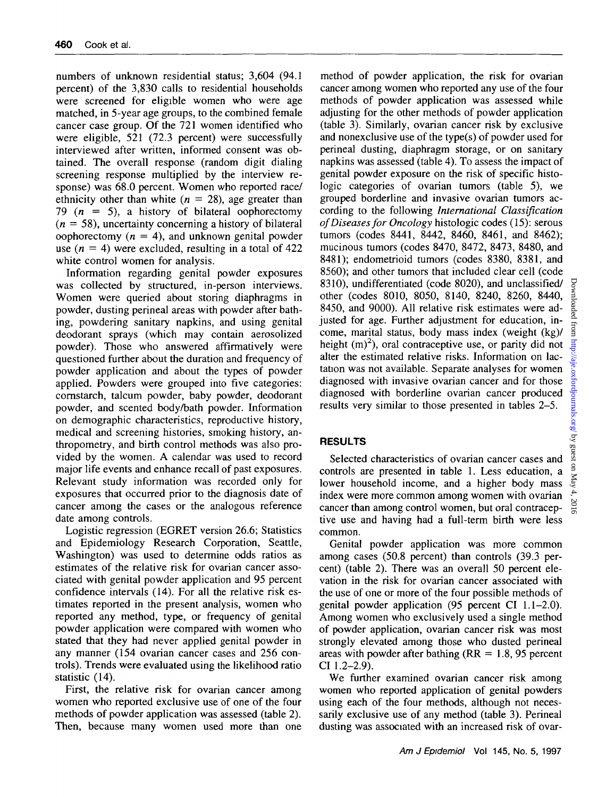numbers of unknown residential status; 3,604 (94.1 percent) of the 3,830 calls to residential households were screened for eligible women who were age matched, in 5-year age groups, to the combined female cancer case group. Of the 721 women identified who were eligible, 521 (72.3 percent) were successfully interviewed after written, informed consent was obtained. The overall response (random digit dialing screening response multiplied by the interview response) was 68.0 percent. Women who reported race/ ethnicity other than white  $(n = 28)$ , age greater than 79 *(n —* 5), a history of bilateral oophorectomy *(n =* 58), uncertainty concerning a history of bilateral oophorectomy  $(n = 4)$ , and unknown genital powder use ( $n = 4$ ) were excluded, resulting in a total of 422 white control women for analysis.

Information regarding genital powder exposures was collected by structured, in-person interviews. Women were queried about storing diaphragms in powder, dusting perineal areas with powder after bathing, powdering sanitary napkins, and using genital deodorant sprays (which may contain aerosolized powder). Those who answered affirmatively were questioned further about the duration and frequency of powder application and about the types of powder applied. Powders were grouped into five categories: cornstarch, talcum powder, baby powder, deodorant powder, and scented body/bath powder. Information on demographic characteristics, reproductive history, medical and screening histories, smoking history, anthropometry, and birth control methods was also provided by the women. A calendar was used to record major life events and enhance recall of past exposures. Relevant study information was recorded only for exposures that occurred prior to the diagnosis date of cancer among the cases or the analogous reference date among controls.

Logistic regression (EGRET version 26.6; Statistics and Epidemiology Research Corporation, Seattle, Washington) was used to determine odds ratios as estimates of the relative risk for ovarian cancer associated with genital powder application and 95 percent confidence intervals (14). For all the relative risk estimates reported in the present analysis, women who reported any method, type, or frequency of genital powder application were compared with women who stated that they had never applied genital powder in any manner (154 ovarian cancer cases and 256 controls). Trends were evaluated using the likelihood ratio statistic (14).

First, the relative risk for ovarian cancer among women who reported exclusive use of one of the four methods of powder application was assessed (table 2). Then, because many women used more than one

method of powder application, the risk for ovarian cancer among women who reported any use of the four methods of powder application was assessed while adjusting for the other methods of powder application (table 3). Similarly, ovarian cancer risk by exclusive and nonexclusive use of the type(s) of powder used for perineal dusting, diaphragm storage, or on sanitary napkins was assessed (table 4). To assess the impact of genital powder exposure on the risk of specific histologic categories of ovarian tumors (table 5), we grouped borderline and invasive ovarian tumors according to the following *International Classification of Diseases for Oncology* histologic codes (15): serous tumors (codes 8441, 8442, 8460, 8461, and 8462); mucinous tumors (codes 8470, 8472, 8473, 8480, and 8481); endometrioid tumors (codes 8380, 8381, and 8560); and other tumors that included clear cell (code 8310), undifferentiated (code 8020), and unclassified/ other (codes 8010, 8050, 8140, 8240, 8260, 8440, 8450, and 9000). All relative risk estimates were adjusted for age. Further adjustment for education, income, marital status, body mass index (weight (kg)/ height  $(m)^2$ ), oral contraceptive use, or parity did not alter the estimated relative risks. Information on lactation was not available. Separate analyses for women diagnosed with invasive ovarian cancer and for those diagnosed with borderline ovarian cancer produced results very similar to those presented in tables 2-5.

# **RESULTS**

Selected characteristics of ovarian cancer cases and controls are presented in table 1. Less education, a lower household income, and a higher body mass index were more common among women with ovarian cancer than among control women, but oral contraceptive use and having had a full-term birth were less common.

Genital powder application was more common among cases (50.8 percent) than controls (39.3 percent) (table 2). There was an overall 50 percent elevation in the risk for ovarian cancer associated with the use of one or more of the four possible methods of genital powder application (95 percent CI 1.1-2.0). Among women who exclusively used a single method of powder application, ovarian cancer risk was most strongly elevated among those who dusted perineal areas with powder after bathing ( $RR = 1.8$ , 95 percent CI 1.2-2.9).

We further examined ovarian cancer risk among women who reported application of genital powders using each of the four methods, although not necessarily exclusive use of any method (table 3). Perineal dusting was associated with an increased risk of ovar-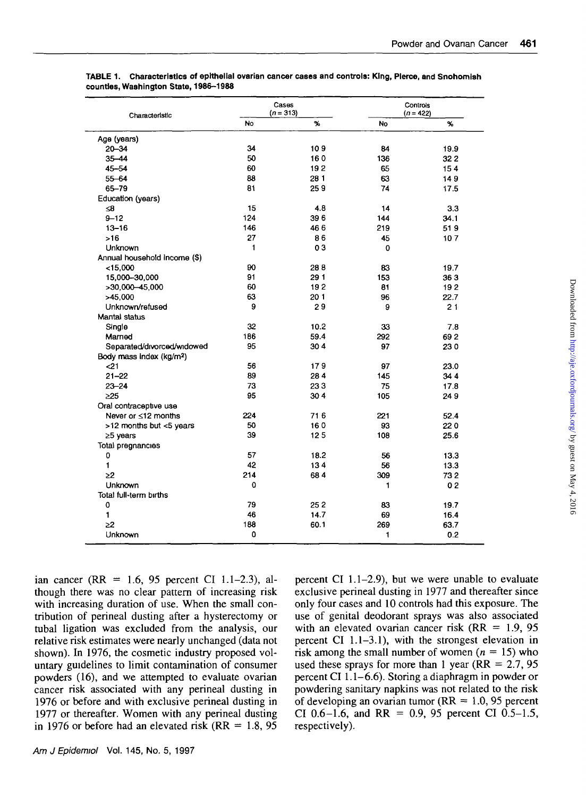| Characteristic                       |           | Cases<br>$(n = 313)$ | Controls<br>$(n = 422)$ |      |  |
|--------------------------------------|-----------|----------------------|-------------------------|------|--|
|                                      | <b>No</b> | %                    | No                      | %    |  |
| Age (years)                          |           |                      |                         |      |  |
| $20 - 34$                            | 34        | 109                  | 84                      | 19.9 |  |
| $35 - 44$                            | 50        | 160                  | 136                     | 322  |  |
| $45 - 54$                            | 60        | 192                  | 65                      | 154  |  |
| $55 - 64$                            | 88        | 281                  | 63                      | 149  |  |
| 65-79                                | 81        | 259                  | 74                      | 17.5 |  |
| Education (years)                    |           |                      |                         |      |  |
| ≲8                                   | 15        | 4.8                  | 14                      | 3.3  |  |
| $9 - 12$                             | 124       | 396                  | 144                     | 34.1 |  |
| $13 - 16$                            | 146       | 466                  | 219                     | 519  |  |
| $>16$                                | 27        | 86                   | 45                      | 107  |  |
| Unknown                              | 1         | 03                   | 0                       |      |  |
| Annual household income (\$)         |           |                      |                         |      |  |
| $<$ 15,000                           | 90        | 288                  | 83                      | 19.7 |  |
| 15,000-30,000                        | 91        | 291                  | 153                     | 363  |  |
| >30,000-45,000                       | 60        | 192                  | 81                      | 192  |  |
| >45,000                              | 63        | 201                  | 96                      | 22.7 |  |
| Unknown/refused                      | 9         | 29                   | 9                       | 21   |  |
| Mantal status                        |           |                      |                         |      |  |
| Single                               | 32        | 10.2                 | 33                      | 7.8  |  |
| Married                              | 186       | 59.4                 | 292                     | 692  |  |
| Separated/drvorced/widowed           | 95        | 304                  | 97                      | 230  |  |
| Body mass index (kg/m <sup>2</sup> ) |           |                      |                         |      |  |
| $21$                                 | 56        | 179                  | 97                      | 23.0 |  |
| $21 - 22$                            | 89        | 284                  | 145                     | 344  |  |
| $23 - 24$                            | 73        | 233                  | 75                      | 17.8 |  |
| >25                                  | 95        | 30 <sub>4</sub>      | 105                     | 249  |  |
| Oral contraceptive use               |           |                      |                         |      |  |
| Never or ≤12 months                  | 224       | 716                  | 221                     | 52.4 |  |
| >12 months but <5 years              | 50        | 160                  | 93                      | 220  |  |
| ≥5 years                             | 39        | 125                  | 108                     | 25.6 |  |
| Total pregnancies                    |           |                      |                         |      |  |
| 0                                    | 57        | 18.2                 | 56                      | 13.3 |  |
| 1                                    | 42        | 134                  | 56                      | 13.3 |  |
| 22                                   | 214       | 684                  | 309                     | 732  |  |
| Unknown                              | 0         |                      | 1                       | 02   |  |
| Total full-term births               |           |                      |                         |      |  |
| 0                                    | 79        | 252                  | 83                      | 19.7 |  |
| 1                                    | 46        | 14.7                 | 69                      | 16.4 |  |
| >2                                   | 188       | 60.1                 | 269                     | 63.7 |  |
| Unknown                              | 0         |                      | 1                       | 0.2  |  |

**TABLE 1. Characteristics of epithelial ovarian cancer cases and controls: King, Pierce, and Snohomish counties, Washington State, 1986-1988**

ian cancer (RR = 1.6, 95 percent CI 1.1-2.3), although there was no clear pattern of increasing risk with increasing duration of use. When the small contribution of perineal dusting after a hysterectomy or tubal ligation was excluded from the analysis, our relative risk estimates were nearly unchanged (data not shown). In 1976, the cosmetic industry proposed voluntary guidelines to limit contamination of consumer powders (16), and we attempted to evaluate ovarian cancer risk associated with any perineal dusting in 1976 or before and with exclusive perineal dusting in 1977 or thereafter. Women with any perineal dusting in 1976 or before had an elevated risk ( $RR = 1.8$ , 95

percent CI 1.1-2.9), but we were unable to evaluate exclusive perineal dusting in 1977 and thereafter since only four cases and 10 controls had this exposure. The use of genital deodorant sprays was also associated with an elevated ovarian cancer risk ( $RR = 1.9, 95$ ) percent CI 1.1-3.1), with the strongest elevation in risk among the small number of women *{n —* 15) who used these sprays for more than 1 year ( $RR = 2.7, 95$ ) percent CI 1.1-6.6). Storing a diaphragm in powder or powdering sanitary napkins was not related to the risk of developing an ovarian tumor ( $RR = 1.0$ , 95 percent CI 0.6-1.6, and RR = 0.9, 95 percent CI 0.5-1.5, respectively).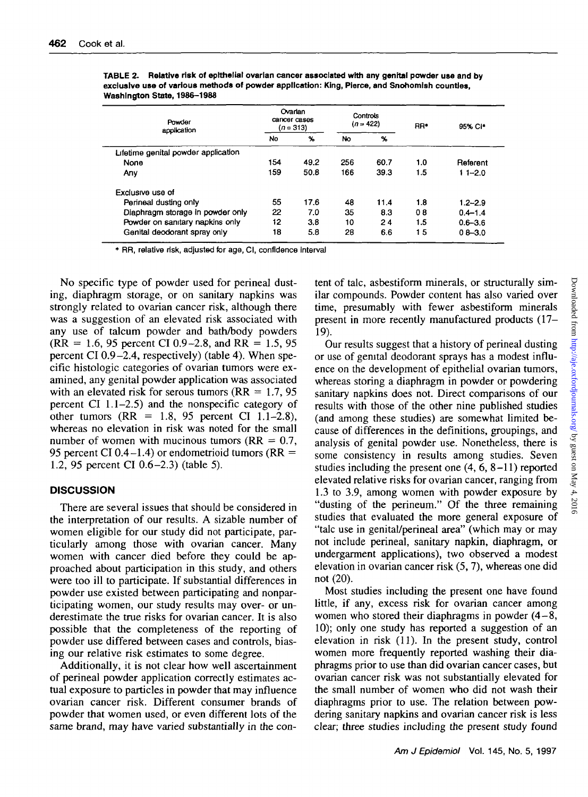| Powder<br>application               | Ovarian<br>cancer cases<br>(n = 313) |               | Controls<br>$(n = 422)$ |      | RR <sup>*</sup> | 95% CI*     |
|-------------------------------------|--------------------------------------|---------------|-------------------------|------|-----------------|-------------|
|                                     | No                                   | $\frac{9}{6}$ | No                      | %    |                 |             |
| Lifetime genital powder application |                                      |               |                         |      |                 |             |
| None                                | 154                                  | 49.2          | 256                     | 60.7 | 1.0             | Referent    |
| Any                                 | 159                                  | 50.8          | 166                     | 39.3 | 1.5             | $11 - 20$   |
| Exclusive use of                    |                                      |               |                         |      |                 |             |
| Perineal dusting only               | 55                                   | 17.6          | 48                      | 11.4 | 1.8             | $1.2 - 2.9$ |
| Diaphragm storage in powder only    | 22                                   | 7.0           | 35                      | 8.3  | 08              | $0.4 - 1.4$ |
| Powder on sanitary napkins only     | 12                                   | 3.8           | 10                      | 24   | 1.5             | $0.6 - 3.6$ |
| Genital deodorant spray only        | 18                                   | 5.8           | 28                      | 6.6  | 15              | $0.8 - 3.0$ |

**TABLE 2. Relative risk of epithelial ovarian cancer associated with any genital powder use and by exclusive use of various methods of powder application: King, Pierce, and Snohomlsh counties, Washington State, 1986-1988**

1 RR, relative risk, adjusted for age, Cl, confidence Interval

No specific type of powder used for perineal dusting, diaphragm storage, or on sanitary napkins was strongly related to ovarian cancer risk, although there was a suggestion of an elevated risk associated with any use of talcum powder and bath/body powders  $(RR = 1.6, 95$  percent CI 0.9-2.8, and RR = 1.5, 95 percent CI  $0.9-2.4$ , respectively) (table 4). When specific histologic categories of ovarian tumors were examined, any genital powder application was associated with an elevated risk for serous tumors ( $RR = 1.7, 95$ ) percent Cl 1.1-2.5) and the nonspecific category of other tumors  $(RR = 1.8, 95$  percent CI 1.1-2.8), whereas no elevation in risk was noted for the small number of women with mucinous tumors ( $RR = 0.7$ , 95 percent CI 0.4–1.4) or endometrioid tumors ( $RR =$ 1.2, 95 percent Cl 0.6-2.3) (table 5).

## **DISCUSSION**

There are several issues that should be considered in the interpretation of our results. A sizable number of women eligible for our study did not participate, particularly among those with ovarian cancer. Many women with cancer died before they could be approached about participation in this study, and others were too ill to participate. If substantial differences in powder use existed between participating and nonparticipating women, our study results may over- or underestimate the true risks for ovarian cancer. It is also possible that the completeness of the reporting of powder use differed between cases and controls, biasing our relative risk estimates to some degree.

Additionally, it is not clear how well ascertainment of perineal powder application correctly estimates actual exposure to particles in powder that may influence ovarian cancer risk. Different consumer brands of powder that women used, or even different lots of the same brand, may have varied substantially in the content of talc, asbestiform minerals, or structurally similar compounds. Powder content has also varied over time, presumably with fewer asbestiform minerals present in more recently manufactured products (17- 19).

Our results suggest that a history of perineal dusting or use of genital deodorant sprays has a modest influence on the development of epithelial ovarian tumors, whereas storing a diaphragm in powder or powdering sanitary napkins does not. Direct comparisons of our results with those of the other nine published studies (and among these studies) are somewhat limited because of differences in the definitions, groupings, and analysis of genital powder use. Nonetheless, there is some consistency in results among studies. Seven studies including the present one (4, 6, 8-11) reported elevated relative risks for ovarian cancer, ranging from 1.3 to 3.9, among women with powder exposure by "dusting of the perineum." Of the three remaining studies that evaluated the more general exposure of "talc use in genital/perineal area" (which may or may not include perineal, sanitary napkin, diaphragm, or undergarment applications), two observed a modest elevation in ovarian cancer risk (5, 7), whereas one did not (20).

Most studies including the present one have found little, if any, excess risk for ovarian cancer among women who stored their diaphragms in powder  $(4-8, 1)$ 10); only one study has reported a suggestion of an elevation in risk (11). In the present study, control women more frequently reported washing their diaphragms prior to use than did ovarian cancer cases, but ovarian cancer risk was not substantially elevated for the small number of women who did not wash their diaphragms prior to use. The relation between powdering sanitary napkins and ovarian cancer risk is less clear; three studies including the present study found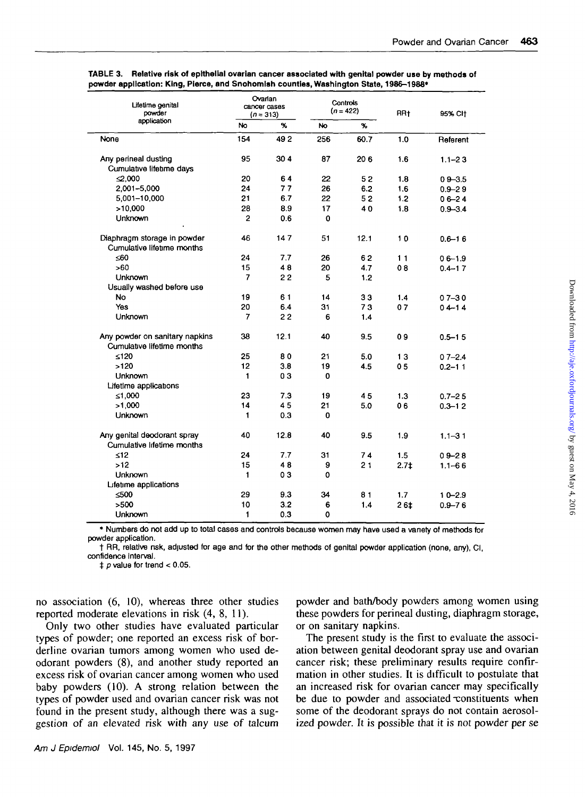| $\gamma$<br>No<br>%<br>No<br>154<br>492<br>None<br>256<br>60.7<br>1.0<br>Referent<br>Any perineal dusting<br>95<br>304<br>87<br>206<br>1.6<br>$1.1 - 23$<br>Cumulative lifetime days<br>$\leq 0.000$<br>20<br>64<br>22<br>52<br>1.8<br>$09 - 3.5$<br>77<br>2.001-5,000<br>24<br>26<br>6.2<br>1.6<br>$0.9 - 2.9$<br>21<br>6.7<br>5,001-10,000<br>22<br>52<br>1.2<br>$06 - 24$<br>>10,000<br>28<br>8.9<br>17<br>40<br>1.8<br>$0.9 - 3.4$<br>$\overline{2}$<br><b>Unknown</b><br>0.6<br>$\mathbf 0$<br>Diaphragm storage in powder<br>46<br>147<br>51<br>12.1<br>10<br>$0.6 - 16$<br>Cumulative lifetime months<br><60<br>24<br>7.7<br>26<br>62<br>11<br>$06 - 1.9$<br>>60<br>15<br>48<br>20<br>4.7<br>08<br>$0.4 - 1.7$<br>7<br>22<br>Unknown<br>5<br>1.2<br>Usually washed before use<br><b>No</b><br>19<br>61<br>14<br>33<br>1.4<br>$07 - 30$<br>6.4<br>Yes<br>20<br>31<br>07<br>73<br>$04 - 14$<br><b>Unknown</b><br>7<br>22<br>6<br>1.4<br>12.1<br>Any powder on sanitary napkins<br>38<br>40<br>9.5<br>09<br>$0.5 - 1.5$<br>Cumulative lifetime months<br>≤120<br>25<br>80<br>21<br>5.0<br>13<br>$07 - 2.4$<br>12<br>>120<br>3.8<br>19<br>0 <sub>5</sub><br>4.5<br>$0.2 - 11$<br>03<br>Unknown<br>1<br>0<br>Lifetime applications<br>≤1,000<br>23<br>7.3<br>19<br>45<br>1.3<br>$0.7 - 25$<br>>1.000<br>14<br>45<br>21<br>5.0<br>06<br>$0.3 - 12$<br><b>Unknown</b><br>1<br>0.3<br>0<br>Any genital deodorant spray<br>12.8<br>40<br>40<br>9.5<br>1.9<br>$1.1 - 31$<br>Cumulative Infetime months<br>$\leq 12$<br>24<br>7.7<br>31<br>74<br>1.5<br>$09 - 28$<br>>12<br>15<br>48<br>21<br>9<br>$2.7+$<br>$1.1 - 66$<br>Unknown<br>1<br>03<br>0<br>Lifetime applications<br>≤500<br>29<br>9.3<br>34<br>81<br>1.7 <sub>z</sub><br>$10 - 2.9$<br>>500<br>10<br>3.2<br>6<br>1.4<br>26 <sub>1</sub><br>$0.9 - 76$ | Lifetime genital<br>powder<br>application | Ovarian<br>cancer cases<br>$(n = 313)$ |     | Controls<br>$(n = 422)$ |  | RR <sub>t</sub> | 95% CH |
|--------------------------------------------------------------------------------------------------------------------------------------------------------------------------------------------------------------------------------------------------------------------------------------------------------------------------------------------------------------------------------------------------------------------------------------------------------------------------------------------------------------------------------------------------------------------------------------------------------------------------------------------------------------------------------------------------------------------------------------------------------------------------------------------------------------------------------------------------------------------------------------------------------------------------------------------------------------------------------------------------------------------------------------------------------------------------------------------------------------------------------------------------------------------------------------------------------------------------------------------------------------------------------------------------------------------------------------------------------------------------------------------------------------------------------------------------------------------------------------------------------------------------------------------------------------------------------------------------------------------------------------------------------------------------------------------------------------------------------------------------------------------------------------------------------------|-------------------------------------------|----------------------------------------|-----|-------------------------|--|-----------------|--------|
|                                                                                                                                                                                                                                                                                                                                                                                                                                                                                                                                                                                                                                                                                                                                                                                                                                                                                                                                                                                                                                                                                                                                                                                                                                                                                                                                                                                                                                                                                                                                                                                                                                                                                                                                                                                                              |                                           |                                        |     |                         |  |                 |        |
|                                                                                                                                                                                                                                                                                                                                                                                                                                                                                                                                                                                                                                                                                                                                                                                                                                                                                                                                                                                                                                                                                                                                                                                                                                                                                                                                                                                                                                                                                                                                                                                                                                                                                                                                                                                                              |                                           |                                        |     |                         |  |                 |        |
|                                                                                                                                                                                                                                                                                                                                                                                                                                                                                                                                                                                                                                                                                                                                                                                                                                                                                                                                                                                                                                                                                                                                                                                                                                                                                                                                                                                                                                                                                                                                                                                                                                                                                                                                                                                                              |                                           |                                        |     |                         |  |                 |        |
|                                                                                                                                                                                                                                                                                                                                                                                                                                                                                                                                                                                                                                                                                                                                                                                                                                                                                                                                                                                                                                                                                                                                                                                                                                                                                                                                                                                                                                                                                                                                                                                                                                                                                                                                                                                                              |                                           |                                        |     |                         |  |                 |        |
|                                                                                                                                                                                                                                                                                                                                                                                                                                                                                                                                                                                                                                                                                                                                                                                                                                                                                                                                                                                                                                                                                                                                                                                                                                                                                                                                                                                                                                                                                                                                                                                                                                                                                                                                                                                                              |                                           |                                        |     |                         |  |                 |        |
|                                                                                                                                                                                                                                                                                                                                                                                                                                                                                                                                                                                                                                                                                                                                                                                                                                                                                                                                                                                                                                                                                                                                                                                                                                                                                                                                                                                                                                                                                                                                                                                                                                                                                                                                                                                                              |                                           |                                        |     |                         |  |                 |        |
|                                                                                                                                                                                                                                                                                                                                                                                                                                                                                                                                                                                                                                                                                                                                                                                                                                                                                                                                                                                                                                                                                                                                                                                                                                                                                                                                                                                                                                                                                                                                                                                                                                                                                                                                                                                                              |                                           |                                        |     |                         |  |                 |        |
|                                                                                                                                                                                                                                                                                                                                                                                                                                                                                                                                                                                                                                                                                                                                                                                                                                                                                                                                                                                                                                                                                                                                                                                                                                                                                                                                                                                                                                                                                                                                                                                                                                                                                                                                                                                                              |                                           |                                        |     |                         |  |                 |        |
|                                                                                                                                                                                                                                                                                                                                                                                                                                                                                                                                                                                                                                                                                                                                                                                                                                                                                                                                                                                                                                                                                                                                                                                                                                                                                                                                                                                                                                                                                                                                                                                                                                                                                                                                                                                                              |                                           |                                        |     |                         |  |                 |        |
|                                                                                                                                                                                                                                                                                                                                                                                                                                                                                                                                                                                                                                                                                                                                                                                                                                                                                                                                                                                                                                                                                                                                                                                                                                                                                                                                                                                                                                                                                                                                                                                                                                                                                                                                                                                                              |                                           |                                        |     |                         |  |                 |        |
|                                                                                                                                                                                                                                                                                                                                                                                                                                                                                                                                                                                                                                                                                                                                                                                                                                                                                                                                                                                                                                                                                                                                                                                                                                                                                                                                                                                                                                                                                                                                                                                                                                                                                                                                                                                                              |                                           |                                        |     |                         |  |                 |        |
|                                                                                                                                                                                                                                                                                                                                                                                                                                                                                                                                                                                                                                                                                                                                                                                                                                                                                                                                                                                                                                                                                                                                                                                                                                                                                                                                                                                                                                                                                                                                                                                                                                                                                                                                                                                                              |                                           |                                        |     |                         |  |                 |        |
|                                                                                                                                                                                                                                                                                                                                                                                                                                                                                                                                                                                                                                                                                                                                                                                                                                                                                                                                                                                                                                                                                                                                                                                                                                                                                                                                                                                                                                                                                                                                                                                                                                                                                                                                                                                                              |                                           |                                        |     |                         |  |                 |        |
|                                                                                                                                                                                                                                                                                                                                                                                                                                                                                                                                                                                                                                                                                                                                                                                                                                                                                                                                                                                                                                                                                                                                                                                                                                                                                                                                                                                                                                                                                                                                                                                                                                                                                                                                                                                                              |                                           |                                        |     |                         |  |                 |        |
|                                                                                                                                                                                                                                                                                                                                                                                                                                                                                                                                                                                                                                                                                                                                                                                                                                                                                                                                                                                                                                                                                                                                                                                                                                                                                                                                                                                                                                                                                                                                                                                                                                                                                                                                                                                                              |                                           |                                        |     |                         |  |                 |        |
|                                                                                                                                                                                                                                                                                                                                                                                                                                                                                                                                                                                                                                                                                                                                                                                                                                                                                                                                                                                                                                                                                                                                                                                                                                                                                                                                                                                                                                                                                                                                                                                                                                                                                                                                                                                                              |                                           |                                        |     |                         |  |                 |        |
|                                                                                                                                                                                                                                                                                                                                                                                                                                                                                                                                                                                                                                                                                                                                                                                                                                                                                                                                                                                                                                                                                                                                                                                                                                                                                                                                                                                                                                                                                                                                                                                                                                                                                                                                                                                                              |                                           |                                        |     |                         |  |                 |        |
|                                                                                                                                                                                                                                                                                                                                                                                                                                                                                                                                                                                                                                                                                                                                                                                                                                                                                                                                                                                                                                                                                                                                                                                                                                                                                                                                                                                                                                                                                                                                                                                                                                                                                                                                                                                                              |                                           |                                        |     |                         |  |                 |        |
|                                                                                                                                                                                                                                                                                                                                                                                                                                                                                                                                                                                                                                                                                                                                                                                                                                                                                                                                                                                                                                                                                                                                                                                                                                                                                                                                                                                                                                                                                                                                                                                                                                                                                                                                                                                                              |                                           |                                        |     |                         |  |                 |        |
|                                                                                                                                                                                                                                                                                                                                                                                                                                                                                                                                                                                                                                                                                                                                                                                                                                                                                                                                                                                                                                                                                                                                                                                                                                                                                                                                                                                                                                                                                                                                                                                                                                                                                                                                                                                                              |                                           |                                        |     |                         |  |                 |        |
|                                                                                                                                                                                                                                                                                                                                                                                                                                                                                                                                                                                                                                                                                                                                                                                                                                                                                                                                                                                                                                                                                                                                                                                                                                                                                                                                                                                                                                                                                                                                                                                                                                                                                                                                                                                                              |                                           |                                        |     |                         |  |                 |        |
|                                                                                                                                                                                                                                                                                                                                                                                                                                                                                                                                                                                                                                                                                                                                                                                                                                                                                                                                                                                                                                                                                                                                                                                                                                                                                                                                                                                                                                                                                                                                                                                                                                                                                                                                                                                                              |                                           |                                        |     |                         |  |                 |        |
|                                                                                                                                                                                                                                                                                                                                                                                                                                                                                                                                                                                                                                                                                                                                                                                                                                                                                                                                                                                                                                                                                                                                                                                                                                                                                                                                                                                                                                                                                                                                                                                                                                                                                                                                                                                                              |                                           |                                        |     |                         |  |                 |        |
|                                                                                                                                                                                                                                                                                                                                                                                                                                                                                                                                                                                                                                                                                                                                                                                                                                                                                                                                                                                                                                                                                                                                                                                                                                                                                                                                                                                                                                                                                                                                                                                                                                                                                                                                                                                                              |                                           |                                        |     |                         |  |                 |        |
|                                                                                                                                                                                                                                                                                                                                                                                                                                                                                                                                                                                                                                                                                                                                                                                                                                                                                                                                                                                                                                                                                                                                                                                                                                                                                                                                                                                                                                                                                                                                                                                                                                                                                                                                                                                                              |                                           |                                        |     |                         |  |                 |        |
|                                                                                                                                                                                                                                                                                                                                                                                                                                                                                                                                                                                                                                                                                                                                                                                                                                                                                                                                                                                                                                                                                                                                                                                                                                                                                                                                                                                                                                                                                                                                                                                                                                                                                                                                                                                                              |                                           |                                        |     |                         |  |                 |        |
|                                                                                                                                                                                                                                                                                                                                                                                                                                                                                                                                                                                                                                                                                                                                                                                                                                                                                                                                                                                                                                                                                                                                                                                                                                                                                                                                                                                                                                                                                                                                                                                                                                                                                                                                                                                                              |                                           |                                        |     |                         |  |                 |        |
|                                                                                                                                                                                                                                                                                                                                                                                                                                                                                                                                                                                                                                                                                                                                                                                                                                                                                                                                                                                                                                                                                                                                                                                                                                                                                                                                                                                                                                                                                                                                                                                                                                                                                                                                                                                                              |                                           |                                        |     |                         |  |                 |        |
|                                                                                                                                                                                                                                                                                                                                                                                                                                                                                                                                                                                                                                                                                                                                                                                                                                                                                                                                                                                                                                                                                                                                                                                                                                                                                                                                                                                                                                                                                                                                                                                                                                                                                                                                                                                                              |                                           |                                        |     |                         |  |                 |        |
|                                                                                                                                                                                                                                                                                                                                                                                                                                                                                                                                                                                                                                                                                                                                                                                                                                                                                                                                                                                                                                                                                                                                                                                                                                                                                                                                                                                                                                                                                                                                                                                                                                                                                                                                                                                                              |                                           |                                        |     |                         |  |                 |        |
|                                                                                                                                                                                                                                                                                                                                                                                                                                                                                                                                                                                                                                                                                                                                                                                                                                                                                                                                                                                                                                                                                                                                                                                                                                                                                                                                                                                                                                                                                                                                                                                                                                                                                                                                                                                                              |                                           |                                        |     |                         |  |                 |        |
|                                                                                                                                                                                                                                                                                                                                                                                                                                                                                                                                                                                                                                                                                                                                                                                                                                                                                                                                                                                                                                                                                                                                                                                                                                                                                                                                                                                                                                                                                                                                                                                                                                                                                                                                                                                                              |                                           |                                        |     |                         |  |                 |        |
|                                                                                                                                                                                                                                                                                                                                                                                                                                                                                                                                                                                                                                                                                                                                                                                                                                                                                                                                                                                                                                                                                                                                                                                                                                                                                                                                                                                                                                                                                                                                                                                                                                                                                                                                                                                                              |                                           |                                        |     |                         |  |                 |        |
|                                                                                                                                                                                                                                                                                                                                                                                                                                                                                                                                                                                                                                                                                                                                                                                                                                                                                                                                                                                                                                                                                                                                                                                                                                                                                                                                                                                                                                                                                                                                                                                                                                                                                                                                                                                                              | Unknown                                   | 1                                      | 0.3 | 0                       |  |                 |        |

**TABLE 3. Relative risk of epithelial ovarian cancer associated with genital powder use by methods of powder application: King, Pierce, and Snohomlsh counties, Washington State, 1986-1988\***

• Numbers do not add up to total cases and controls because women may have used a vanety of methods for powder application.

t RR, relative nsk, adjusted for age and for the other methods of genital powder application (none, any), Cl, confidence Interval.

 $\ddagger$  p value for trend < 0.05.

no association (6, 10), whereas three other studies reported moderate elevations in risk (4, 8, 11).

Only two other studies have evaluated particular types of powder; one reported an excess risk of borderline ovarian tumors among women who used deodorant powders (8), and another study reported an excess risk of ovarian cancer among women who used baby powders (10). A strong relation between the types of powder used and ovarian cancer risk was not found in the present study, although there was a suggestion of an elevated risk with any use of talcum

Am J Epidemiol Vol. 145, No. 5, 1997

powder and bath/body powders among women using these powders for perinea] dusting, diaphragm storage, or on sanitary napkins.

The present study is the first to evaluate the association between genital deodorant spray use and ovarian cancer risk; these preliminary results require confirmation in other studies. It is difficult to postulate that an increased risk for ovarian cancer may specifically be due to powder and associated constituents when some of the deodorant sprays do not contain aerosolized powder. It is possible that it is not powder per se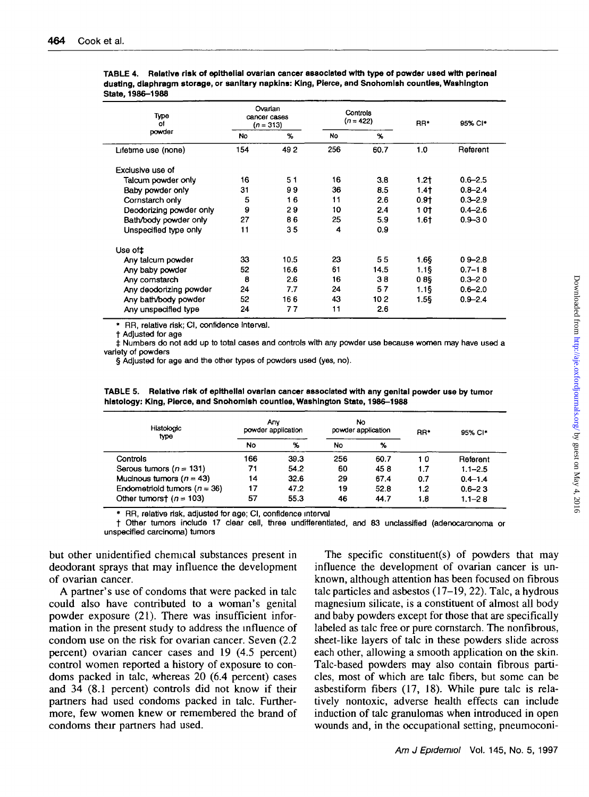|                  | TABLE 4. Relative risk of epithelial ovarian cancer associated with type of powder used with perineal |
|------------------|-------------------------------------------------------------------------------------------------------|
|                  | dusting, diaphragm storage, or sanitary napkins: King, Pierce, and Snohomish counties, Washington     |
| State, 1986-1988 |                                                                                                       |

| Туре<br>Ωf<br>powder    | Ovarian<br>cancer cases<br>$(n = 313)$ |      | Controls<br>$(n = 422)$ |      | RR*    | 95% CI*     |
|-------------------------|----------------------------------------|------|-------------------------|------|--------|-------------|
|                         | <b>No</b>                              | %    | No                      | $\%$ |        |             |
| Lifetime use (none)     | 154                                    | 492  | 256                     | 60.7 | 1.0    | Referent    |
| Exclusive use of        |                                        |      |                         |      |        |             |
| Talcum powder only      | 16                                     | 51   | 16                      | 3.8  | $1.2+$ | $0.6 - 2.5$ |
| Baby powder only        | 31                                     | 99   | 36                      | 8.5  | $1.4+$ | $0.8 - 2.4$ |
| Cornstarch only         | 5                                      | 16   | 11                      | 2.6  | 0.91   | $0.3 - 2.9$ |
| Deodorizing powder only | 9                                      | 29   | 10                      | 2.4  | 1 Ot   | $0.4 - 2.6$ |
| Bath/body powder only   | 27                                     | 86   | 25                      | 5.9  | 1.61   | $0.9 - 30$  |
| Unspecified type only   | 11                                     | 35   | 4                       | 0.9  |        |             |
| Use of #                |                                        |      |                         |      |        |             |
| Any talcum powder       | 33                                     | 10.5 | 23                      | 55   | 1.65   | $09 - 2.8$  |
| Any baby powder         | 52                                     | 16.6 | 61                      | 14.5 | 1.15   | $0.7 - 18$  |
| Any comstarch           | 8                                      | 2.6  | 16                      | 38   | 089    | $0.3 - 20$  |
| Any deodorizing powder  | 24                                     | 7.7  | 24                      | 57   | 1.15   | $0.6 - 2.0$ |
| Any bath/body powder    | 52                                     | 166  | 43                      | 102  | 1.56   | $0.9 - 2.4$ |
| Any unspecified type    | 24                                     | 77   | 11                      | 2.6  |        |             |

RR, relative risk; CI, confidence interval,

t Adjusted for age

 $\pm$  Numbers do not add up to total cases and controls with any powder use because women may have used a variety of powders

§ Adjusted for age and the other types of powders used (yes, no).

**TABLE 5. Relative risk of epithelial ovarian cancer associated wtth any genital powder use by tumor histology: King, Pierce, and Snohomlsh counties, Washington State, 1986-1988**

| Histologic<br>type               | Anv<br>powder application |               | No<br>powder application |                       | RR <sup>+</sup> | 95% CI*     |
|----------------------------------|---------------------------|---------------|--------------------------|-----------------------|-----------------|-------------|
|                                  | <b>No</b>                 | $\mathcal{H}$ | No                       | $\boldsymbol{\gamma}$ |                 |             |
| Controls                         | 166                       | 39.3          | 256                      | 60.7                  | 10              | Referent    |
| Serous tumors ( $n = 131$ )      | 71                        | 54.2          | 60                       | 458                   | 1.7             | $1.1 - 2.5$ |
| Mucinous tumors ( $n = 43$ )     | 14                        | 32.6          | 29                       | 67.4                  | 0.7             | $0.4 - 1.4$ |
| Endometriold tumors ( $n = 36$ ) | 17                        | 47.2          | 19                       | 52.8                  | 1.2             | $0.6 - 2.3$ |
| Other tumorst ( $n = 103$ )      | 57                        | 55.3          | 46                       | 44.7                  | 1.8             | $1.1 - 2.8$ |

RR, relative risk, adjusted for age; CI, confidence interval

t Other tumors include 17 clear cell, three undifferentiated, and 83 unclassified (adenocarcınoma or unspecified carcinoma) tumors

but other unidentified chemical substances present in deodorant sprays that may influence the development of ovarian cancer.

A partner's use of condoms that were packed in talc could also have contributed to a woman's genital powder exposure (21). There was insufficient information in the present study to address the influence of condom use on the risk for ovarian cancer. Seven (2.2 percent) ovarian cancer cases and 19 (4.5 percent) control women reported a history of exposure to condoms packed in talc, whereas 20 (6.4 percent) cases and 34 (8.1 percent) controls did not know if their partners had used condoms packed in talc. Furthermore, few women knew or remembered the brand of condoms their partners had used.

The specific constituent(s) of powders that may influence the development of ovarian cancer is unknown, although attention has been focused on fibrous talc particles and asbestos (17-19, 22). Talc, a hydrous magnesium silicate, is a constituent of almost all body and baby powders except for those that are specifically labeled as talc free or pure comstarch. The nonfibrous, sheet-like layers of talc in these powders slide across each other, allowing a smooth application on the skin. Talc-based powders may also contain fibrous particles, most of which are talc fibers, but some can be asbestiform fibers (17, 18). While pure talc is relatively nontoxic, adverse health effects can include induction of talc granulomas when introduced in open wounds and, in the occupational setting, pneumoconi-